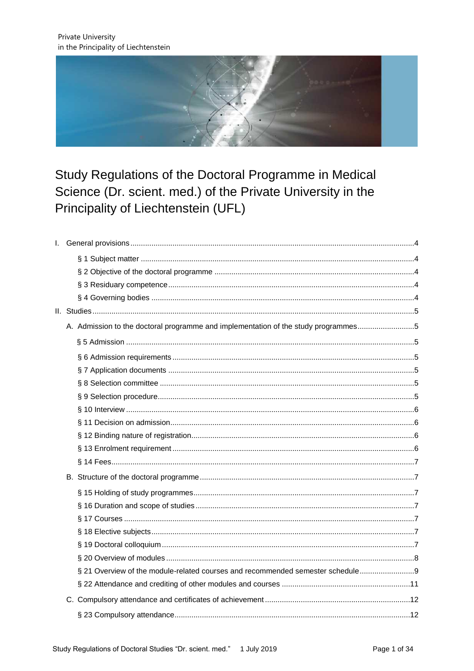

# Study Regulations of the Doctoral Programme in Medical Science (Dr. scient. med.) of the Private University in the Principality of Liechtenstein (UFL)

|  | A. Admission to the doctoral programme and implementation of the study programmes5 |  |
|--|------------------------------------------------------------------------------------|--|
|  |                                                                                    |  |
|  |                                                                                    |  |
|  |                                                                                    |  |
|  |                                                                                    |  |
|  |                                                                                    |  |
|  |                                                                                    |  |
|  |                                                                                    |  |
|  |                                                                                    |  |
|  |                                                                                    |  |
|  |                                                                                    |  |
|  |                                                                                    |  |
|  |                                                                                    |  |
|  |                                                                                    |  |
|  |                                                                                    |  |
|  |                                                                                    |  |
|  |                                                                                    |  |
|  |                                                                                    |  |
|  | § 21 Overview of the module-related courses and recommended semester schedule      |  |
|  |                                                                                    |  |
|  |                                                                                    |  |
|  |                                                                                    |  |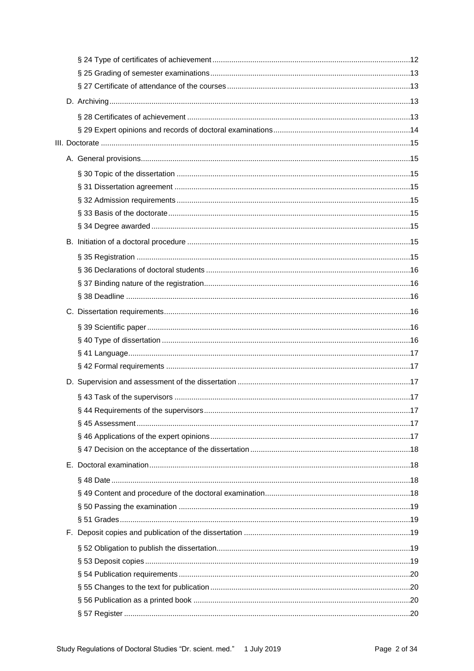|  | § 44 Requirements of the supervisors | .17 |
|--|--------------------------------------|-----|
|  |                                      |     |
|  |                                      |     |
|  |                                      |     |
|  |                                      |     |
|  |                                      |     |
|  |                                      |     |
|  |                                      |     |
|  |                                      |     |
|  |                                      |     |
|  |                                      |     |
|  |                                      |     |
|  |                                      |     |
|  |                                      |     |
|  |                                      |     |
|  |                                      |     |
|  |                                      |     |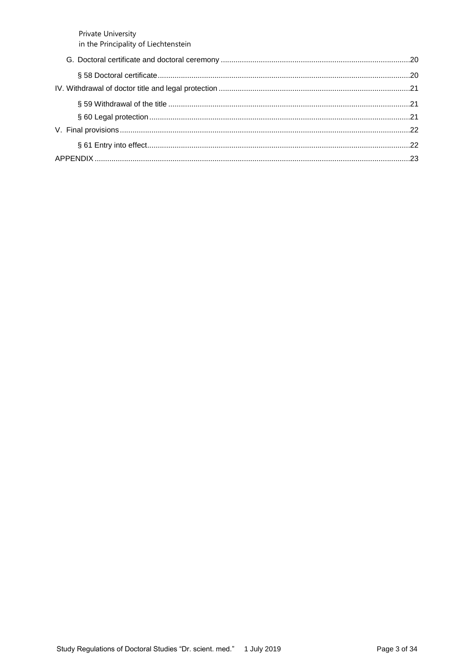| <b>Private University</b><br>in the Principality of Liechtenstein |  |
|-------------------------------------------------------------------|--|
|                                                                   |  |
|                                                                   |  |
|                                                                   |  |
|                                                                   |  |
|                                                                   |  |
|                                                                   |  |
|                                                                   |  |
|                                                                   |  |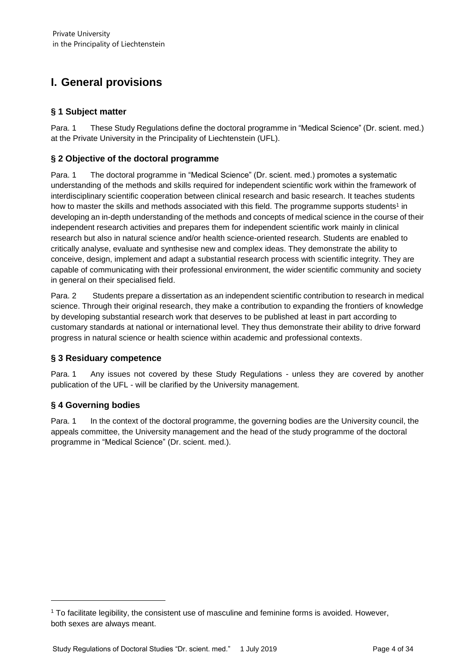# <span id="page-3-0"></span>**I. General provisions**

### <span id="page-3-1"></span>**§ 1 Subject matter**

Para. 1 These Study Regulations define the doctoral programme in "Medical Science" (Dr. scient. med.) at the Private University in the Principality of Liechtenstein (UFL).

### <span id="page-3-2"></span>**§ 2 Objective of the doctoral programme**

Para. 1 The doctoral programme in "Medical Science" (Dr. scient. med.) promotes a systematic understanding of the methods and skills required for independent scientific work within the framework of interdisciplinary scientific cooperation between clinical research and basic research. It teaches students how to master the skills and methods associated with this field. The programme supports students<sup>1</sup> in developing an in-depth understanding of the methods and concepts of medical science in the course of their independent research activities and prepares them for independent scientific work mainly in clinical research but also in natural science and/or health science-oriented research. Students are enabled to critically analyse, evaluate and synthesise new and complex ideas. They demonstrate the ability to conceive, design, implement and adapt a substantial research process with scientific integrity. They are capable of communicating with their professional environment, the wider scientific community and society in general on their specialised field.

Para. 2 Students prepare a dissertation as an independent scientific contribution to research in medical science. Through their original research, they make a contribution to expanding the frontiers of knowledge by developing substantial research work that deserves to be published at least in part according to customary standards at national or international level. They thus demonstrate their ability to drive forward progress in natural science or health science within academic and professional contexts.

### <span id="page-3-3"></span>**§ 3 Residuary competence**

Para. 1 Any issues not covered by these Study Regulations - unless they are covered by another publication of the UFL - will be clarified by the University management.

### <span id="page-3-4"></span>**§ 4 Governing bodies**

 $\overline{a}$ 

Para. 1 In the context of the doctoral programme, the governing bodies are the University council, the appeals committee, the University management and the head of the study programme of the doctoral programme in "Medical Science" (Dr. scient. med.).

<sup>1</sup> To facilitate legibility, the consistent use of masculine and feminine forms is avoided. However, both sexes are always meant.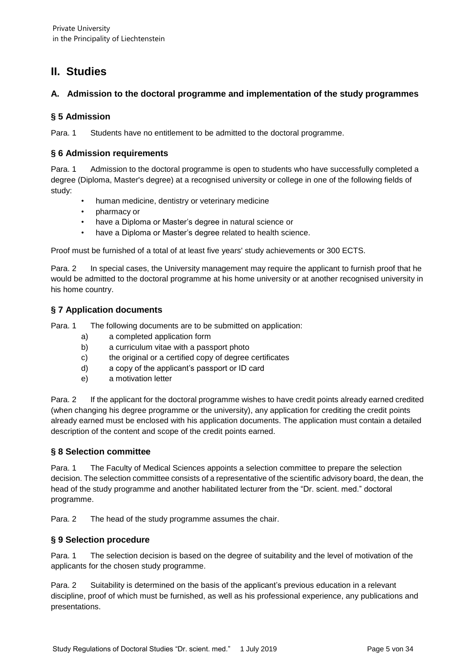# <span id="page-4-0"></span>**II. Studies**

### <span id="page-4-1"></span>**A. Admission to the doctoral programme and implementation of the study programmes**

### <span id="page-4-2"></span>**§ 5 Admission**

Para. 1 Students have no entitlement to be admitted to the doctoral programme.

### <span id="page-4-3"></span>**§ 6 Admission requirements**

Para. 1 Admission to the doctoral programme is open to students who have successfully completed a degree (Diploma, Master's degree) at a recognised university or college in one of the following fields of study:

- human medicine, dentistry or veterinary medicine
- pharmacy or
- have a Diploma or Master's degree in natural science or
- have a Diploma or Master's degree related to health science.

Proof must be furnished of a total of at least five years' study achievements or 300 ECTS.

Para. 2 In special cases, the University management may require the applicant to furnish proof that he would be admitted to the doctoral programme at his home university or at another recognised university in his home country.

### <span id="page-4-4"></span>**§ 7 Application documents**

Para. 1 The following documents are to be submitted on application:

- a) a completed application form
- b) a curriculum vitae with a passport photo
- c) the original or a certified copy of degree certificates
- d) a copy of the applicant's passport or ID card
- e) a motivation letter

Para. 2 If the applicant for the doctoral programme wishes to have credit points already earned credited (when changing his degree programme or the university), any application for crediting the credit points already earned must be enclosed with his application documents. The application must contain a detailed description of the content and scope of the credit points earned.

### <span id="page-4-5"></span>**§ 8 Selection committee**

Para. 1 The Faculty of Medical Sciences appoints a selection committee to prepare the selection decision. The selection committee consists of a representative of the scientific advisory board, the dean, the head of the study programme and another habilitated lecturer from the "Dr. scient. med." doctoral programme.

Para. 2 The head of the study programme assumes the chair.

### <span id="page-4-6"></span>**§ 9 Selection procedure**

Para. 1 The selection decision is based on the degree of suitability and the level of motivation of the applicants for the chosen study programme.

Para. 2 Suitability is determined on the basis of the applicant's previous education in a relevant discipline, proof of which must be furnished, as well as his professional experience, any publications and presentations.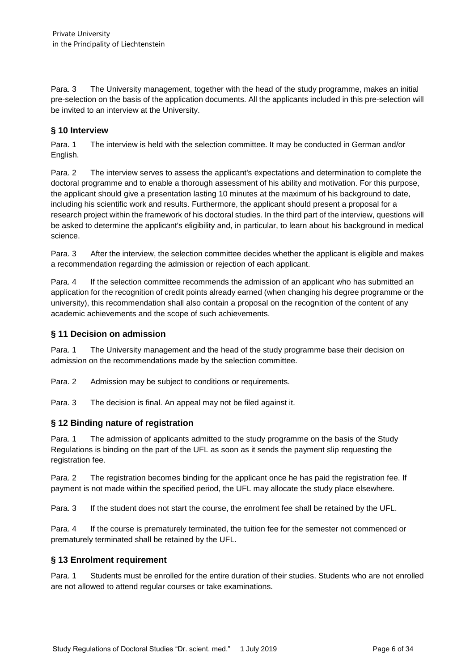Para. 3 The University management, together with the head of the study programme, makes an initial pre-selection on the basis of the application documents. All the applicants included in this pre-selection will be invited to an interview at the University.

### <span id="page-5-0"></span>**§ 10 Interview**

Para. 1 The interview is held with the selection committee. It may be conducted in German and/or English.

Para. 2 The interview serves to assess the applicant's expectations and determination to complete the doctoral programme and to enable a thorough assessment of his ability and motivation. For this purpose, the applicant should give a presentation lasting 10 minutes at the maximum of his background to date, including his scientific work and results. Furthermore, the applicant should present a proposal for a research project within the framework of his doctoral studies. In the third part of the interview, questions will be asked to determine the applicant's eligibility and, in particular, to learn about his background in medical science.

Para. 3 After the interview, the selection committee decides whether the applicant is eligible and makes a recommendation regarding the admission or rejection of each applicant.

Para. 4 If the selection committee recommends the admission of an applicant who has submitted an application for the recognition of credit points already earned (when changing his degree programme or the university), this recommendation shall also contain a proposal on the recognition of the content of any academic achievements and the scope of such achievements.

### <span id="page-5-1"></span>**§ 11 Decision on admission**

Para. 1 The University management and the head of the study programme base their decision on admission on the recommendations made by the selection committee.

Para. 2 Admission may be subject to conditions or requirements.

Para. 3 The decision is final. An appeal may not be filed against it.

### <span id="page-5-2"></span>**§ 12 Binding nature of registration**

Para. 1 The admission of applicants admitted to the study programme on the basis of the Study Regulations is binding on the part of the UFL as soon as it sends the payment slip requesting the registration fee.

Para. 2 The registration becomes binding for the applicant once he has paid the registration fee. If payment is not made within the specified period, the UFL may allocate the study place elsewhere.

Para. 3 If the student does not start the course, the enrolment fee shall be retained by the UFL.

Para. 4 If the course is prematurely terminated, the tuition fee for the semester not commenced or prematurely terminated shall be retained by the UFL.

### <span id="page-5-3"></span>**§ 13 Enrolment requirement**

Para. 1 Students must be enrolled for the entire duration of their studies. Students who are not enrolled are not allowed to attend regular courses or take examinations.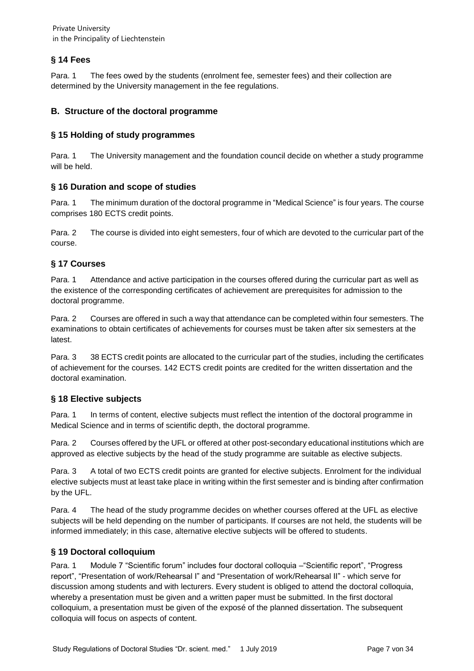## <span id="page-6-0"></span>**§ 14 Fees**

Para. 1 The fees owed by the students (enrolment fee, semester fees) and their collection are determined by the University management in the fee regulations.

### <span id="page-6-1"></span>**B. Structure of the doctoral programme**

### <span id="page-6-2"></span>**§ 15 Holding of study programmes**

Para. 1 The University management and the foundation council decide on whether a study programme will be held.

### <span id="page-6-3"></span>**§ 16 Duration and scope of studies**

Para. 1 The minimum duration of the doctoral programme in "Medical Science" is four years. The course comprises 180 ECTS credit points.

Para. 2 The course is divided into eight semesters, four of which are devoted to the curricular part of the course.

### <span id="page-6-4"></span>**§ 17 Courses**

Para. 1 Attendance and active participation in the courses offered during the curricular part as well as the existence of the corresponding certificates of achievement are prerequisites for admission to the doctoral programme.

Para. 2 Courses are offered in such a way that attendance can be completed within four semesters. The examinations to obtain certificates of achievements for courses must be taken after six semesters at the latest.

Para. 3 38 ECTS credit points are allocated to the curricular part of the studies, including the certificates of achievement for the courses. 142 ECTS credit points are credited for the written dissertation and the doctoral examination.

### <span id="page-6-5"></span>**§ 18 Elective subjects**

Para. 1 In terms of content, elective subjects must reflect the intention of the doctoral programme in Medical Science and in terms of scientific depth, the doctoral programme.

Para. 2 Courses offered by the UFL or offered at other post-secondary educational institutions which are approved as elective subjects by the head of the study programme are suitable as elective subjects.

Para. 3 A total of two ECTS credit points are granted for elective subjects. Enrolment for the individual elective subjects must at least take place in writing within the first semester and is binding after confirmation by the UFL.

Para. 4 The head of the study programme decides on whether courses offered at the UFL as elective subjects will be held depending on the number of participants. If courses are not held, the students will be informed immediately; in this case, alternative elective subjects will be offered to students.

### <span id="page-6-6"></span>**§ 19 Doctoral colloquium**

Para. 1 Module 7 "Scientific forum" includes four doctoral colloquia –"Scientific report", "Progress report", "Presentation of work/Rehearsal I" and "Presentation of work/Rehearsal II" - which serve for discussion among students and with lecturers. Every student is obliged to attend the doctoral colloquia, whereby a presentation must be given and a written paper must be submitted. In the first doctoral colloquium, a presentation must be given of the exposé of the planned dissertation. The subsequent colloquia will focus on aspects of content.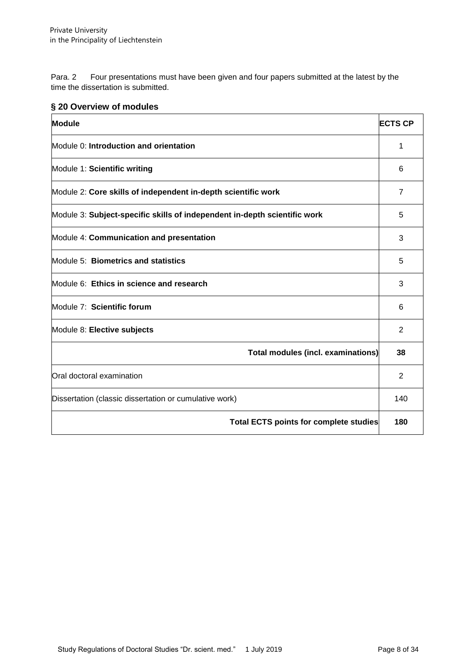Para. 2 Four presentations must have been given and four papers submitted at the latest by the time the dissertation is submitted.

### <span id="page-7-0"></span>**§ 20 Overview of modules**

| <b>Module</b>                                                             | <b>ECTS CP</b> |
|---------------------------------------------------------------------------|----------------|
| Module 0: Introduction and orientation                                    | 1              |
| Module 1: Scientific writing                                              | 6              |
| Module 2: Core skills of independent in-depth scientific work             | $\overline{7}$ |
| Module 3: Subject-specific skills of independent in-depth scientific work | 5              |
| Module 4: Communication and presentation                                  | 3              |
| Module 5: Biometrics and statistics                                       | 5              |
| Module 6: Ethics in science and research                                  | 3              |
| Module 7: Scientific forum                                                | 6              |
| Module 8: Elective subjects                                               |                |
| <b>Total modules (incl. examinations)</b>                                 | 38             |
| Oral doctoral examination                                                 |                |
| Dissertation (classic dissertation or cumulative work)                    |                |
| Total ECTS points for complete studies                                    | 180            |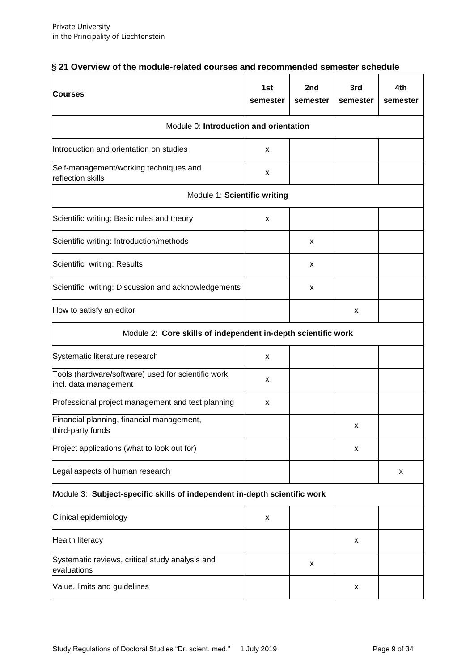<span id="page-8-0"></span>

| § 21 Overview of the module-related courses and recommended semester schedule |  |  |
|-------------------------------------------------------------------------------|--|--|
|-------------------------------------------------------------------------------|--|--|

| <b>Courses</b>                                                              | 1st<br>semester | 2nd<br>semester | 3rd<br>semester | 4th<br>semester |  |
|-----------------------------------------------------------------------------|-----------------|-----------------|-----------------|-----------------|--|
| Module 0: Introduction and orientation                                      |                 |                 |                 |                 |  |
| Introduction and orientation on studies                                     | x               |                 |                 |                 |  |
| Self-management/working techniques and<br>reflection skills                 | x               |                 |                 |                 |  |
| Module 1: Scientific writing                                                |                 |                 |                 |                 |  |
| Scientific writing: Basic rules and theory                                  | x               |                 |                 |                 |  |
| Scientific writing: Introduction/methods                                    |                 | x               |                 |                 |  |
| Scientific writing: Results                                                 |                 | x               |                 |                 |  |
| Scientific writing: Discussion and acknowledgements                         |                 | x               |                 |                 |  |
| How to satisfy an editor                                                    |                 |                 | x               |                 |  |
| Module 2: Core skills of independent in-depth scientific work               |                 |                 |                 |                 |  |
| Systematic literature research                                              | x               |                 |                 |                 |  |
| Tools (hardware/software) used for scientific work<br>incl. data management | x               |                 |                 |                 |  |
| Professional project management and test planning                           | x               |                 |                 |                 |  |
| Financial planning, financial management,<br>third-party funds              |                 |                 | x               |                 |  |
| Project applications (what to look out for)                                 |                 |                 | x               |                 |  |
| Legal aspects of human research                                             |                 |                 |                 | x               |  |
| Module 3: Subject-specific skills of independent in-depth scientific work   |                 |                 |                 |                 |  |
| Clinical epidemiology                                                       | X               |                 |                 |                 |  |
| <b>Health literacy</b>                                                      |                 |                 | X               |                 |  |
| Systematic reviews, critical study analysis and<br>evaluations              |                 | x               |                 |                 |  |
| Value, limits and guidelines                                                |                 |                 | x               |                 |  |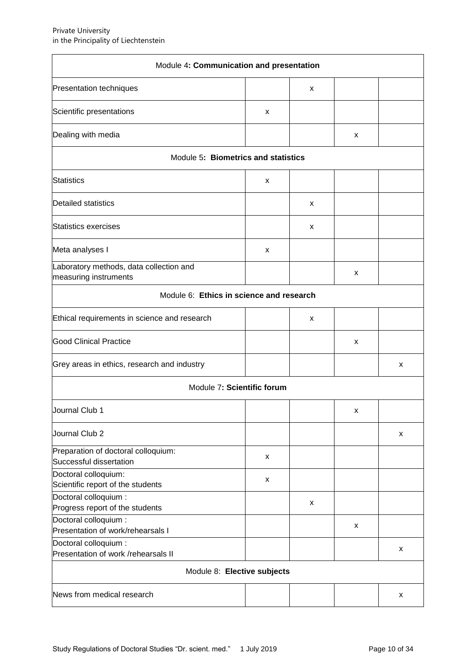| Module 4: Communication and presentation                          |   |   |   |   |
|-------------------------------------------------------------------|---|---|---|---|
| Presentation techniques                                           |   | X |   |   |
| Scientific presentations                                          | x |   |   |   |
| Dealing with media                                                |   |   | X |   |
| Module 5: Biometrics and statistics                               |   |   |   |   |
| <b>Statistics</b>                                                 | X |   |   |   |
| Detailed statistics                                               |   | X |   |   |
| Statistics exercises                                              |   | x |   |   |
| Meta analyses I                                                   | x |   |   |   |
| Laboratory methods, data collection and<br>measuring instruments  |   |   | x |   |
| Module 6: Ethics in science and research                          |   |   |   |   |
| Ethical requirements in science and research                      |   | x |   |   |
| <b>Good Clinical Practice</b>                                     |   |   | X |   |
| Grey areas in ethics, research and industry                       |   |   |   | x |
| Module 7: Scientific forum                                        |   |   |   |   |
| Journal Club 1                                                    |   |   | x |   |
| Journal Club 2                                                    |   |   |   | x |
| Preparation of doctoral colloquium:<br>Successful dissertation    | x |   |   |   |
| Doctoral colloquium:<br>Scientific report of the students         | x |   |   |   |
| Doctoral colloquium :<br>Progress report of the students          |   | x |   |   |
| Doctoral colloquium :<br>X<br>Presentation of work/rehearsals I   |   |   |   |   |
| Doctoral colloquium :<br>X<br>Presentation of work /rehearsals II |   |   |   |   |
| Module 8: Elective subjects                                       |   |   |   |   |
| News from medical research                                        |   |   |   | x |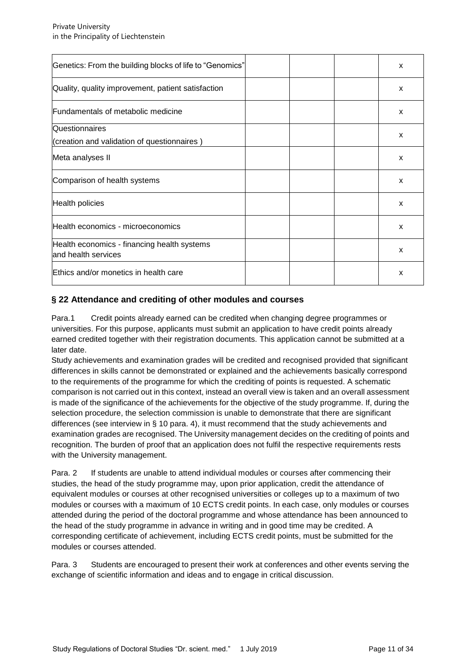| Genetics: From the building blocks of life to "Genomics"           |  | $\boldsymbol{\mathsf{x}}$ |
|--------------------------------------------------------------------|--|---------------------------|
| Quality, quality improvement, patient satisfaction                 |  | X                         |
| Fundamentals of metabolic medicine                                 |  | $\mathsf{x}$              |
| Questionnaires                                                     |  |                           |
| (creation and validation of questionnaires)                        |  | X                         |
| Meta analyses II                                                   |  | $\boldsymbol{\mathsf{x}}$ |
| Comparison of health systems                                       |  | X                         |
| <b>Health policies</b>                                             |  | X                         |
| Health economics - microeconomics                                  |  | X                         |
| Health economics - financing health systems<br>and health services |  | X                         |
| Ethics and/or monetics in health care                              |  | X                         |

### <span id="page-10-0"></span>**§ 22 Attendance and crediting of other modules and courses**

Para.1 Credit points already earned can be credited when changing degree programmes or universities. For this purpose, applicants must submit an application to have credit points already earned credited together with their registration documents. This application cannot be submitted at a later date.

Study achievements and examination grades will be credited and recognised provided that significant differences in skills cannot be demonstrated or explained and the achievements basically correspond to the requirements of the programme for which the crediting of points is requested. A schematic comparison is not carried out in this context, instead an overall view is taken and an overall assessment is made of the significance of the achievements for the objective of the study programme. If, during the selection procedure, the selection commission is unable to demonstrate that there are significant differences (see interview in § 10 para. 4), it must recommend that the study achievements and examination grades are recognised. The University management decides on the crediting of points and recognition. The burden of proof that an application does not fulfil the respective requirements rests with the University management.

Para. 2 If students are unable to attend individual modules or courses after commencing their studies, the head of the study programme may, upon prior application, credit the attendance of equivalent modules or courses at other recognised universities or colleges up to a maximum of two modules or courses with a maximum of 10 ECTS credit points. In each case, only modules or courses attended during the period of the doctoral programme and whose attendance has been announced to the head of the study programme in advance in writing and in good time may be credited. A corresponding certificate of achievement, including ECTS credit points, must be submitted for the modules or courses attended.

Para. 3 Students are encouraged to present their work at conferences and other events serving the exchange of scientific information and ideas and to engage in critical discussion.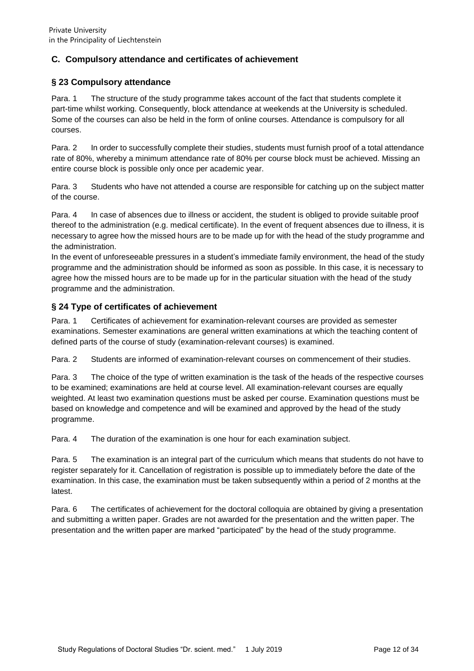### <span id="page-11-0"></span>**C. Compulsory attendance and certificates of achievement**

### <span id="page-11-1"></span>**§ 23 Compulsory attendance**

Para. 1 The structure of the study programme takes account of the fact that students complete it part-time whilst working. Consequently, block attendance at weekends at the University is scheduled. Some of the courses can also be held in the form of online courses. Attendance is compulsory for all courses.

Para. 2 In order to successfully complete their studies, students must furnish proof of a total attendance rate of 80%, whereby a minimum attendance rate of 80% per course block must be achieved. Missing an entire course block is possible only once per academic year.

Para. 3 Students who have not attended a course are responsible for catching up on the subject matter of the course.

Para. 4 In case of absences due to illness or accident, the student is obliged to provide suitable proof thereof to the administration (e.g. medical certificate). In the event of frequent absences due to illness, it is necessary to agree how the missed hours are to be made up for with the head of the study programme and the administration.

In the event of unforeseeable pressures in a student's immediate family environment, the head of the study programme and the administration should be informed as soon as possible. In this case, it is necessary to agree how the missed hours are to be made up for in the particular situation with the head of the study programme and the administration.

### <span id="page-11-2"></span>**§ 24 Type of certificates of achievement**

Para. 1 Certificates of achievement for examination-relevant courses are provided as semester examinations. Semester examinations are general written examinations at which the teaching content of defined parts of the course of study (examination-relevant courses) is examined.

Para. 2 Students are informed of examination-relevant courses on commencement of their studies.

Para. 3 The choice of the type of written examination is the task of the heads of the respective courses to be examined; examinations are held at course level. All examination-relevant courses are equally weighted. At least two examination questions must be asked per course. Examination questions must be based on knowledge and competence and will be examined and approved by the head of the study programme.

Para. 4 The duration of the examination is one hour for each examination subject.

Para. 5 The examination is an integral part of the curriculum which means that students do not have to register separately for it. Cancellation of registration is possible up to immediately before the date of the examination. In this case, the examination must be taken subsequently within a period of 2 months at the latest.

Para. 6 The certificates of achievement for the doctoral colloquia are obtained by giving a presentation and submitting a written paper. Grades are not awarded for the presentation and the written paper. The presentation and the written paper are marked "participated" by the head of the study programme.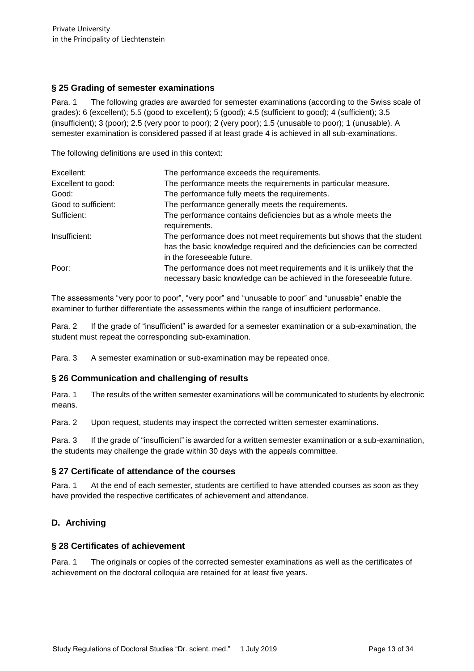### <span id="page-12-0"></span>**§ 25 Grading of semester examinations**

Para. 1 The following grades are awarded for semester examinations (according to the Swiss scale of grades): 6 (excellent); 5.5 (good to excellent); 5 (good); 4.5 (sufficient to good); 4 (sufficient); 3.5 (insufficient); 3 (poor); 2.5 (very poor to poor); 2 (very poor); 1.5 (unusable to poor); 1 (unusable). A semester examination is considered passed if at least grade 4 is achieved in all sub-examinations.

The following definitions are used in this context:

| Excellent:          | The performance exceeds the requirements.                                                                                                                                     |
|---------------------|-------------------------------------------------------------------------------------------------------------------------------------------------------------------------------|
| Excellent to good:  | The performance meets the requirements in particular measure.                                                                                                                 |
| Good:               | The performance fully meets the requirements.                                                                                                                                 |
| Good to sufficient: | The performance generally meets the requirements.                                                                                                                             |
| Sufficient:         | The performance contains deficiencies but as a whole meets the<br>requirements.                                                                                               |
| Insufficient:       | The performance does not meet requirements but shows that the student<br>has the basic knowledge required and the deficiencies can be corrected<br>in the foreseeable future. |
| Poor:               | The performance does not meet requirements and it is unlikely that the<br>necessary basic knowledge can be achieved in the foreseeable future.                                |

The assessments "very poor to poor", "very poor" and "unusable to poor" and "unusable" enable the examiner to further differentiate the assessments within the range of insufficient performance.

Para. 2 If the grade of "insufficient" is awarded for a semester examination or a sub-examination, the student must repeat the corresponding sub-examination.

Para. 3 A semester examination or sub-examination may be repeated once.

#### **§ 26 Communication and challenging of results**

Para. 1 The results of the written semester examinations will be communicated to students by electronic means.

Para. 2 Upon request, students may inspect the corrected written semester examinations.

Para. 3 If the grade of "insufficient" is awarded for a written semester examination or a sub-examination, the students may challenge the grade within 30 days with the appeals committee.

#### <span id="page-12-1"></span>**§ 27 Certificate of attendance of the courses**

Para. 1 At the end of each semester, students are certified to have attended courses as soon as they have provided the respective certificates of achievement and attendance.

### <span id="page-12-2"></span>**D. Archiving**

#### <span id="page-12-3"></span>**§ 28 Certificates of achievement**

Para. 1 The originals or copies of the corrected semester examinations as well as the certificates of achievement on the doctoral colloquia are retained for at least five years.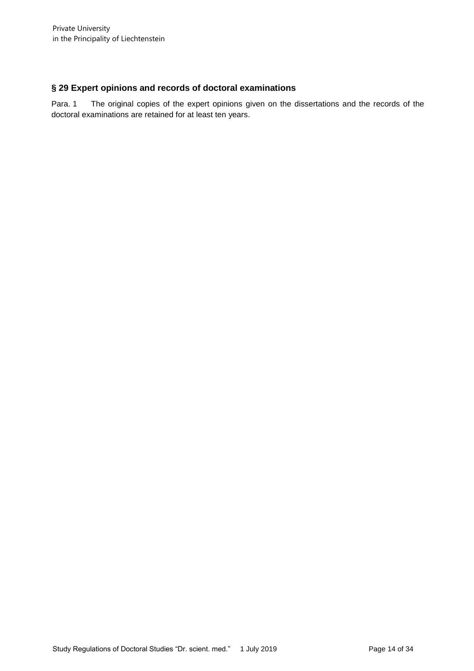### <span id="page-13-0"></span>**§ 29 Expert opinions and records of doctoral examinations**

Para. 1 The original copies of the expert opinions given on the dissertations and the records of the doctoral examinations are retained for at least ten years.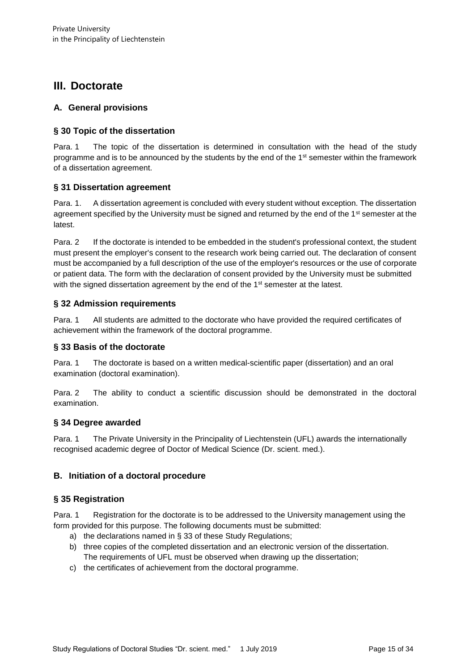# <span id="page-14-0"></span>**III. Doctorate**

### <span id="page-14-1"></span>**A. General provisions**

### <span id="page-14-2"></span>**§ 30 Topic of the dissertation**

Para. 1 The topic of the dissertation is determined in consultation with the head of the study programme and is to be announced by the students by the end of the 1<sup>st</sup> semester within the framework of a dissertation agreement.

### <span id="page-14-3"></span>**§ 31 Dissertation agreement**

Para. 1. A dissertation agreement is concluded with every student without exception. The dissertation agreement specified by the University must be signed and returned by the end of the  $1<sup>st</sup>$  semester at the latest.

Para. 2 If the doctorate is intended to be embedded in the student's professional context, the student must present the employer's consent to the research work being carried out. The declaration of consent must be accompanied by a full description of the use of the employer's resources or the use of corporate or patient data. The form with the declaration of consent provided by the University must be submitted with the signed dissertation agreement by the end of the 1<sup>st</sup> semester at the latest.

### <span id="page-14-4"></span>**§ 32 Admission requirements**

Para. 1 All students are admitted to the doctorate who have provided the required certificates of achievement within the framework of the doctoral programme.

### <span id="page-14-5"></span>**§ 33 Basis of the doctorate**

Para. 1 The doctorate is based on a written medical-scientific paper (dissertation) and an oral examination (doctoral examination).

Para. 2 The ability to conduct a scientific discussion should be demonstrated in the doctoral examination.

### <span id="page-14-6"></span>**§ 34 Degree awarded**

Para. 1 The Private University in the Principality of Liechtenstein (UFL) awards the internationally recognised academic degree of Doctor of Medical Science (Dr. scient. med.).

### <span id="page-14-7"></span>**B. Initiation of a doctoral procedure**

### <span id="page-14-8"></span>**§ 35 Registration**

Para. 1 Registration for the doctorate is to be addressed to the University management using the form provided for this purpose. The following documents must be submitted:

- a) the declarations named in § 33 of these Study Regulations;
- b) three copies of the completed dissertation and an electronic version of the dissertation. The requirements of UFL must be observed when drawing up the dissertation;
- c) the certificates of achievement from the doctoral programme.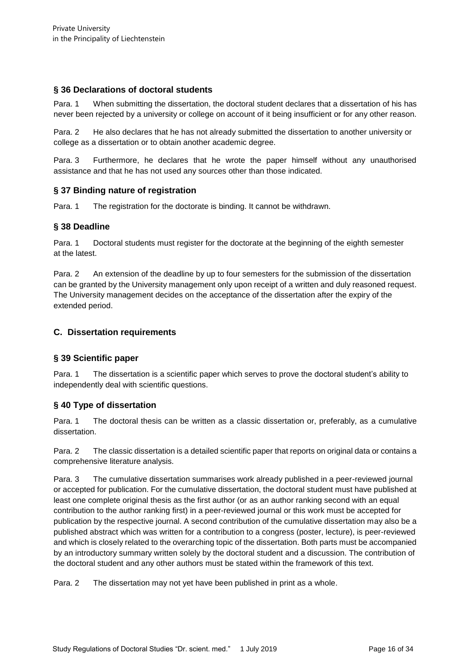### <span id="page-15-0"></span>**§ 36 Declarations of doctoral students**

Para. 1 When submitting the dissertation, the doctoral student declares that a dissertation of his has never been rejected by a university or college on account of it being insufficient or for any other reason.

Para. 2 He also declares that he has not already submitted the dissertation to another university or college as a dissertation or to obtain another academic degree.

Para. 3 Furthermore, he declares that he wrote the paper himself without any unauthorised assistance and that he has not used any sources other than those indicated.

#### <span id="page-15-1"></span>**§ 37 Binding nature of registration**

Para. 1 The registration for the doctorate is binding. It cannot be withdrawn.

#### <span id="page-15-2"></span>**§ 38 Deadline**

Para. 1 Doctoral students must register for the doctorate at the beginning of the eighth semester at the latest.

Para. 2 An extension of the deadline by up to four semesters for the submission of the dissertation can be granted by the University management only upon receipt of a written and duly reasoned request. The University management decides on the acceptance of the dissertation after the expiry of the extended period.

#### <span id="page-15-3"></span>**C. Dissertation requirements**

#### <span id="page-15-4"></span>**§ 39 Scientific paper**

Para. 1 The dissertation is a scientific paper which serves to prove the doctoral student's ability to independently deal with scientific questions.

#### <span id="page-15-5"></span>**§ 40 Type of dissertation**

Para. 1 The doctoral thesis can be written as a classic dissertation or, preferably, as a cumulative dissertation.

Para. 2 The classic dissertation is a detailed scientific paper that reports on original data or contains a comprehensive literature analysis.

Para. 3 The cumulative dissertation summarises work already published in a peer-reviewed journal or accepted for publication. For the cumulative dissertation, the doctoral student must have published at least one complete original thesis as the first author (or as an author ranking second with an equal contribution to the author ranking first) in a peer-reviewed journal or this work must be accepted for publication by the respective journal. A second contribution of the cumulative dissertation may also be a published abstract which was written for a contribution to a congress (poster, lecture), is peer-reviewed and which is closely related to the overarching topic of the dissertation. Both parts must be accompanied by an introductory summary written solely by the doctoral student and a discussion. The contribution of the doctoral student and any other authors must be stated within the framework of this text.

<span id="page-15-6"></span>Para. 2 The dissertation may not yet have been published in print as a whole.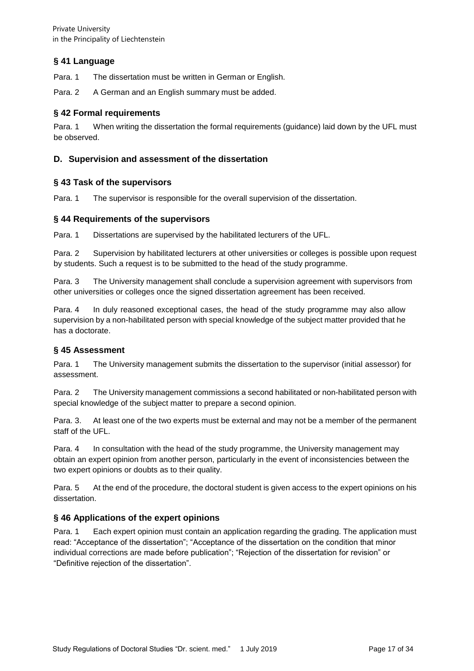### **§ 41 Language**

Para. 1 The dissertation must be written in German or English.

Para. 2 A German and an English summary must be added.

### <span id="page-16-0"></span>**§ 42 Formal requirements**

Para. 1 When writing the dissertation the formal requirements (guidance) laid down by the UFL must be observed.

### <span id="page-16-1"></span>**D. Supervision and assessment of the dissertation**

#### <span id="page-16-2"></span>**§ 43 Task of the supervisors**

Para. 1 The supervisor is responsible for the overall supervision of the dissertation.

#### <span id="page-16-3"></span>**§ 44 Requirements of the supervisors**

Para. 1 Dissertations are supervised by the habilitated lecturers of the UFL.

Para. 2 Supervision by habilitated lecturers at other universities or colleges is possible upon request by students. Such a request is to be submitted to the head of the study programme.

Para. 3 The University management shall conclude a supervision agreement with supervisors from other universities or colleges once the signed dissertation agreement has been received.

Para. 4 In duly reasoned exceptional cases, the head of the study programme may also allow supervision by a non-habilitated person with special knowledge of the subject matter provided that he has a doctorate.

#### <span id="page-16-4"></span>**§ 45 Assessment**

Para. 1 The University management submits the dissertation to the supervisor (initial assessor) for assessment.

Para. 2 The University management commissions a second habilitated or non-habilitated person with special knowledge of the subject matter to prepare a second opinion.

Para. 3. At least one of the two experts must be external and may not be a member of the permanent staff of the UFL.

Para. 4 In consultation with the head of the study programme, the University management may obtain an expert opinion from another person, particularly in the event of inconsistencies between the two expert opinions or doubts as to their quality.

Para. 5 At the end of the procedure, the doctoral student is given access to the expert opinions on his dissertation.

### <span id="page-16-5"></span>**§ 46 Applications of the expert opinions**

Para. 1 Each expert opinion must contain an application regarding the grading. The application must read: "Acceptance of the dissertation"; "Acceptance of the dissertation on the condition that minor individual corrections are made before publication"; "Rejection of the dissertation for revision" or "Definitive rejection of the dissertation".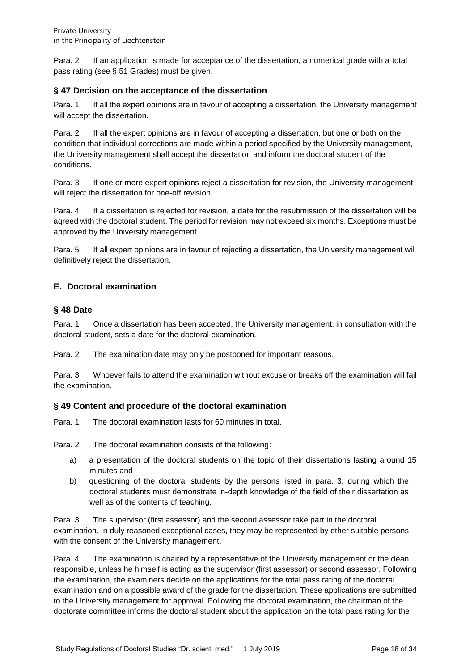Para. 2 If an application is made for acceptance of the dissertation, a numerical grade with a total pass rating (see § 51 Grades) must be given.

### <span id="page-17-0"></span>**§ 47 Decision on the acceptance of the dissertation**

Para. 1 If all the expert opinions are in favour of accepting a dissertation, the University management will accept the dissertation.

Para. 2 If all the expert opinions are in favour of accepting a dissertation, but one or both on the condition that individual corrections are made within a period specified by the University management, the University management shall accept the dissertation and inform the doctoral student of the conditions.

Para. 3 If one or more expert opinions reject a dissertation for revision, the University management will reject the dissertation for one-off revision.

Para. 4 If a dissertation is rejected for revision, a date for the resubmission of the dissertation will be agreed with the doctoral student. The period for revision may not exceed six months. Exceptions must be approved by the University management.

Para. 5 If all expert opinions are in favour of rejecting a dissertation, the University management will definitively reject the dissertation.

### <span id="page-17-1"></span>**E. Doctoral examination**

#### <span id="page-17-2"></span>**§ 48 Date**

Para. 1 Once a dissertation has been accepted, the University management, in consultation with the doctoral student, sets a date for the doctoral examination.

Para. 2 The examination date may only be postponed for important reasons.

Para. 3 Whoever fails to attend the examination without excuse or breaks off the examination will fail the examination.

### <span id="page-17-3"></span>**§ 49 Content and procedure of the doctoral examination**

Para. 1 The doctoral examination lasts for 60 minutes in total.

Para. 2 The doctoral examination consists of the following:

- a) a presentation of the doctoral students on the topic of their dissertations lasting around 15 minutes and
- b) questioning of the doctoral students by the persons listed in para. 3, during which the doctoral students must demonstrate in-depth knowledge of the field of their dissertation as well as of the contents of teaching.

Para. 3 The supervisor (first assessor) and the second assessor take part in the doctoral examination. In duly reasoned exceptional cases, they may be represented by other suitable persons with the consent of the University management.

Para. 4 The examination is chaired by a representative of the University management or the dean responsible, unless he himself is acting as the supervisor (first assessor) or second assessor. Following the examination, the examiners decide on the applications for the total pass rating of the doctoral examination and on a possible award of the grade for the dissertation. These applications are submitted to the University management for approval. Following the doctoral examination, the chairman of the doctorate committee informs the doctoral student about the application on the total pass rating for the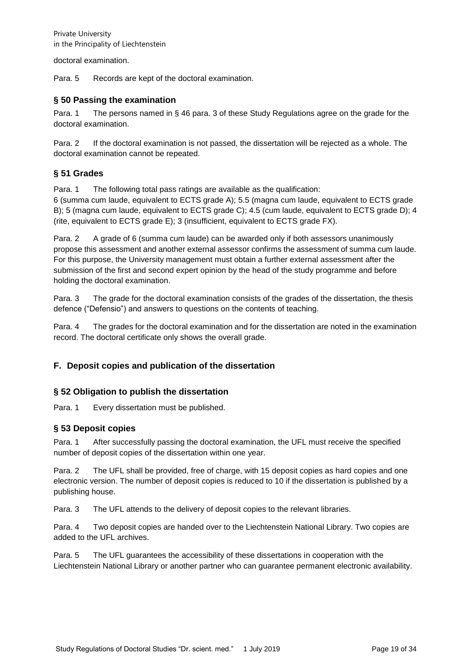Private University in the Principality of Liechtenstein

doctoral examination.

Para. 5 Records are kept of the doctoral examination.

### <span id="page-18-0"></span>**§ 50 Passing the examination**

Para. 1 The persons named in § 46 para. 3 of these Study Regulations agree on the grade for the doctoral examination.

Para. 2 If the doctoral examination is not passed, the dissertation will be rejected as a whole. The doctoral examination cannot be repeated.

### <span id="page-18-1"></span>**§ 51 Grades**

Para. 1 The following total pass ratings are available as the qualification:

6 (summa cum laude, equivalent to ECTS grade A); 5.5 (magna cum laude, equivalent to ECTS grade B); 5 (magna cum laude, equivalent to ECTS grade C); 4.5 (cum laude, equivalent to ECTS grade D); 4 (rite, equivalent to ECTS grade E); 3 (insufficient, equivalent to ECTS grade FX).

Para. 2 A grade of 6 (summa cum laude) can be awarded only if both assessors unanimously propose this assessment and another external assessor confirms the assessment of summa cum laude. For this purpose, the University management must obtain a further external assessment after the submission of the first and second expert opinion by the head of the study programme and before holding the doctoral examination.

Para. 3 The grade for the doctoral examination consists of the grades of the dissertation, the thesis defence ("Defensio") and answers to questions on the contents of teaching.

Para. 4 The grades for the doctoral examination and for the dissertation are noted in the examination record. The doctoral certificate only shows the overall grade.

### <span id="page-18-2"></span>**F. Deposit copies and publication of the dissertation**

### <span id="page-18-3"></span>**§ 52 Obligation to publish the dissertation**

Para. 1 Every dissertation must be published.

### <span id="page-18-4"></span>**§ 53 Deposit copies**

Para. 1 After successfully passing the doctoral examination, the UFL must receive the specified number of deposit copies of the dissertation within one year.

Para. 2 The UFL shall be provided, free of charge, with 15 deposit copies as hard copies and one electronic version. The number of deposit copies is reduced to 10 if the dissertation is published by a publishing house.

Para. 3 The UFL attends to the delivery of deposit copies to the relevant libraries.

Para. 4 Two deposit copies are handed over to the Liechtenstein National Library. Two copies are added to the UFL archives.

Para. 5 The UFL guarantees the accessibility of these dissertations in cooperation with the Liechtenstein National Library or another partner who can guarantee permanent electronic availability.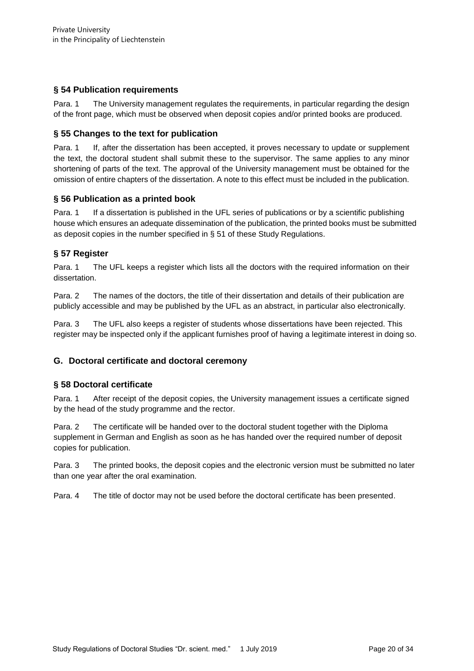### <span id="page-19-0"></span>**§ 54 Publication requirements**

Para. 1 The University management regulates the requirements, in particular regarding the design of the front page, which must be observed when deposit copies and/or printed books are produced.

### <span id="page-19-1"></span>**§ 55 Changes to the text for publication**

Para. 1 If, after the dissertation has been accepted, it proves necessary to update or supplement the text, the doctoral student shall submit these to the supervisor. The same applies to any minor shortening of parts of the text. The approval of the University management must be obtained for the omission of entire chapters of the dissertation. A note to this effect must be included in the publication.

#### <span id="page-19-2"></span>**§ 56 Publication as a printed book**

Para. 1 If a dissertation is published in the UFL series of publications or by a scientific publishing house which ensures an adequate dissemination of the publication, the printed books must be submitted as deposit copies in the number specified in § 51 of these Study Regulations.

#### <span id="page-19-3"></span>**§ 57 Register**

Para. 1 The UFL keeps a register which lists all the doctors with the required information on their dissertation.

Para. 2 The names of the doctors, the title of their dissertation and details of their publication are publicly accessible and may be published by the UFL as an abstract, in particular also electronically.

Para. 3 The UFL also keeps a register of students whose dissertations have been rejected. This register may be inspected only if the applicant furnishes proof of having a legitimate interest in doing so.

#### <span id="page-19-4"></span>**G. Doctoral certificate and doctoral ceremony**

#### <span id="page-19-5"></span>**§ 58 Doctoral certificate**

Para. 1 After receipt of the deposit copies, the University management issues a certificate signed by the head of the study programme and the rector.

Para. 2 The certificate will be handed over to the doctoral student together with the Diploma supplement in German and English as soon as he has handed over the required number of deposit copies for publication.

Para. 3 The printed books, the deposit copies and the electronic version must be submitted no later than one year after the oral examination.

Para. 4 The title of doctor may not be used before the doctoral certificate has been presented.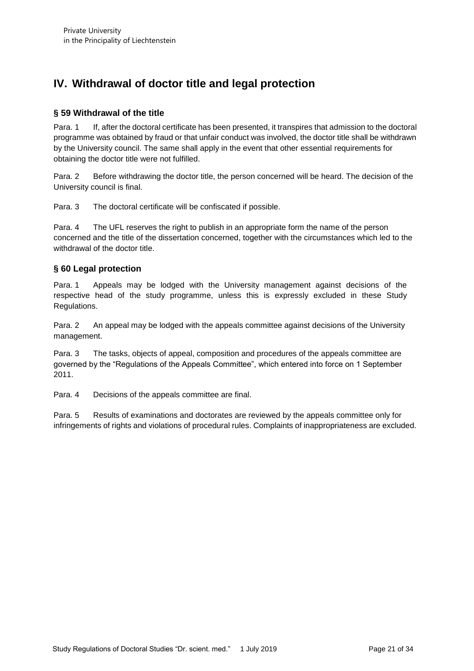# <span id="page-20-0"></span>**IV. Withdrawal of doctor title and legal protection**

### <span id="page-20-1"></span>**§ 59 Withdrawal of the title**

Para. 1 If, after the doctoral certificate has been presented, it transpires that admission to the doctoral programme was obtained by fraud or that unfair conduct was involved, the doctor title shall be withdrawn by the University council. The same shall apply in the event that other essential requirements for obtaining the doctor title were not fulfilled.

Para. 2 Before withdrawing the doctor title, the person concerned will be heard. The decision of the University council is final.

Para. 3 The doctoral certificate will be confiscated if possible.

Para. 4 The UFL reserves the right to publish in an appropriate form the name of the person concerned and the title of the dissertation concerned, together with the circumstances which led to the withdrawal of the doctor title.

### <span id="page-20-2"></span>**§ 60 Legal protection**

Para. 1 Appeals may be lodged with the University management against decisions of the respective head of the study programme, unless this is expressly excluded in these Study Regulations.

Para. 2 An appeal may be lodged with the appeals committee against decisions of the University management.

Para. 3 The tasks, objects of appeal, composition and procedures of the appeals committee are governed by the "Regulations of the Appeals Committee", which entered into force on 1 September 2011.

Para. 4 Decisions of the appeals committee are final.

Para. 5 Results of examinations and doctorates are reviewed by the appeals committee only for infringements of rights and violations of procedural rules. Complaints of inappropriateness are excluded.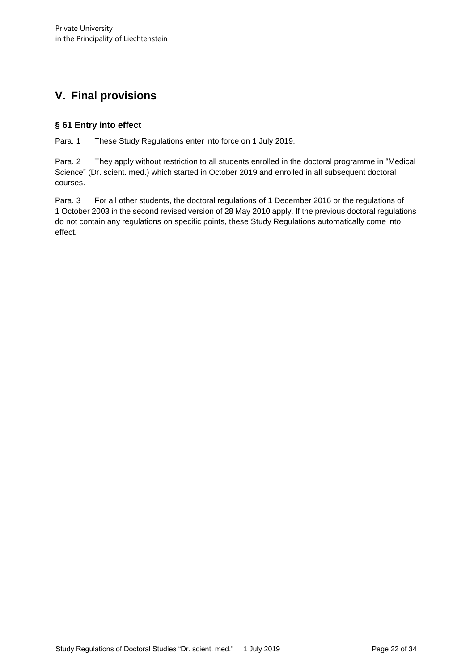# <span id="page-21-0"></span>**V. Final provisions**

### <span id="page-21-1"></span>**§ 61 Entry into effect**

Para. 1 These Study Regulations enter into force on 1 July 2019.

Para. 2 They apply without restriction to all students enrolled in the doctoral programme in "Medical Science" (Dr. scient. med.) which started in October 2019 and enrolled in all subsequent doctoral courses.

Para. 3 For all other students, the doctoral regulations of 1 December 2016 or the regulations of 1 October 2003 in the second revised version of 28 May 2010 apply. If the previous doctoral regulations do not contain any regulations on specific points, these Study Regulations automatically come into effect.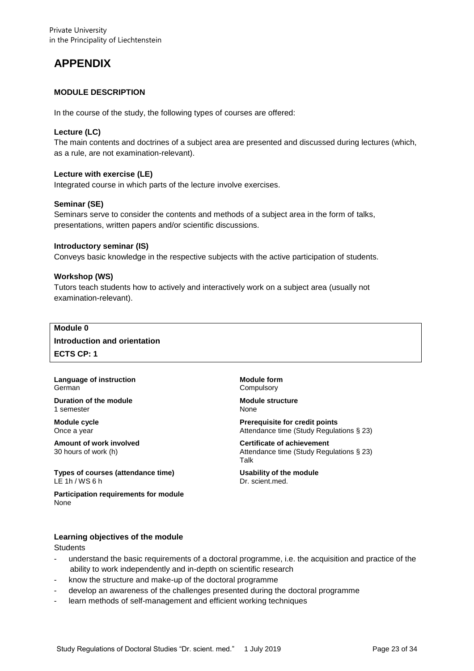# <span id="page-22-0"></span>**APPENDIX**

#### **MODULE DESCRIPTION**

In the course of the study, the following types of courses are offered:

#### **Lecture (LC)**

The main contents and doctrines of a subject area are presented and discussed during lectures (which, as a rule, are not examination-relevant).

#### **Lecture with exercise (LE)**

Integrated course in which parts of the lecture involve exercises.

#### **Seminar (SE)**

Seminars serve to consider the contents and methods of a subject area in the form of talks, presentations, written papers and/or scientific discussions.

#### **Introductory seminar (IS)**

Conveys basic knowledge in the respective subjects with the active participation of students.

#### **Workshop (WS)**

Tutors teach students how to actively and interactively work on a subject area (usually not examination-relevant).

### **Module 0**

### **Introduction and orientation ECTS CP: 1**

#### **Language of instruction** German

**Duration of the module** 1 semester

**Module cycle** Once a year

**Amount of work involved** 30 hours of work (h)

**Types of courses (attendance time)** LE 1h / WS 6 h

**Participation requirements for module** None

**Module form** Compulsory

**Module structure** None

**Prerequisite for credit points** Attendance time (Study Regulations § 23)

**Certificate of achievement** Attendance time (Study Regulations § 23) Talk

**Usability of the module** Dr. scient.med.

#### **Learning objectives of the module**

**Students** 

- understand the basic requirements of a doctoral programme, i.e. the acquisition and practice of the ability to work independently and in-depth on scientific research
- know the structure and make-up of the doctoral programme
- develop an awareness of the challenges presented during the doctoral programme
- learn methods of self-management and efficient working techniques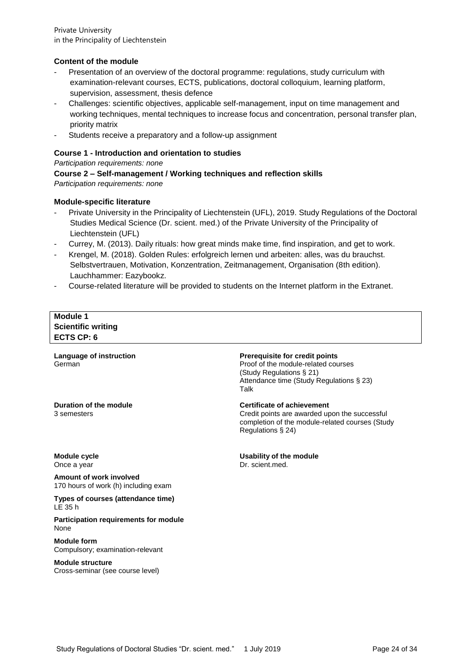#### **Content of the module**

- Presentation of an overview of the doctoral programme: regulations, study curriculum with examination-relevant courses, ECTS, publications, doctoral colloquium, learning platform, supervision, assessment, thesis defence
- Challenges: scientific objectives, applicable self-management, input on time management and working techniques, mental techniques to increase focus and concentration, personal transfer plan, priority matrix
- Students receive a preparatory and a follow-up assignment

#### **Course 1 - Introduction and orientation to studies**

*Participation requirements: none*

# **Course 2 – Self-management / Working techniques and reflection skills**

*Participation requirements: none*

#### **Module-specific literature**

- Private University in the Principality of Liechtenstein (UFL), 2019. Study Regulations of the Doctoral Studies Medical Science (Dr. scient. med.) of the Private University of the Principality of Liechtenstein (UFL)
- Currey, M. (2013). Daily rituals: how great minds make time, find inspiration, and get to work.
- Krengel, M. (2018). Golden Rules: erfolgreich lernen und arbeiten: alles, was du brauchst. Selbstvertrauen, Motivation, Konzentration, Zeitmanagement, Organisation (8th edition). Lauchhammer: Eazybookz.
- Course-related literature will be provided to students on the Internet platform in the Extranet.

#### **Module 1 Scientific writing ECTS CP: 6**

**Language of instruction** German

**Duration of the module** 3 semesters

**Prerequisite for credit points** Proof of the module-related courses

**Usability of the module**

Dr. scient.med.

(Study Regulations § 21) Attendance time (Study Regulations § 23) Talk

**Certificate of achievement** Credit points are awarded upon the successful completion of the module-related courses (Study Regulations § 24)

**Module cycle** Once a year

**Amount of work involved** 170 hours of work (h) including exam

**Types of courses (attendance time)** LE 35 h

**Participation requirements for module** None

**Module form** Compulsory; examination-relevant

**Module structure** Cross-seminar (see course level)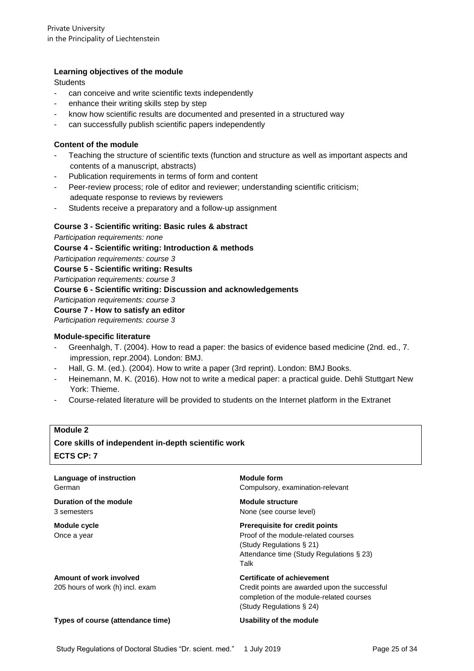#### **Learning objectives of the module**

**Students** 

- can conceive and write scientific texts independently
- enhance their writing skills step by step
- know how scientific results are documented and presented in a structured way
- can successfully publish scientific papers independently

#### **Content of the module**

- Teaching the structure of scientific texts (function and structure as well as important aspects and contents of a manuscript, abstracts)
- Publication requirements in terms of form and content
- Peer-review process; role of editor and reviewer; understanding scientific criticism; adequate response to reviews by reviewers
- Students receive a preparatory and a follow-up assignment

#### **Course 3 - Scientific writing: Basic rules & abstract**

*Participation requirements: none* **Course 4 - Scientific writing: Introduction & methods** *Participation requirements: course 3* **Course 5 - Scientific writing: Results** *Participation requirements: course 3* **Course 6 - Scientific writing: Discussion and acknowledgements** *Participation requirements: course 3* **Course 7 - How to satisfy an editor** *Participation requirements: course 3*

#### **Module-specific literature**

- Greenhalgh, T. (2004). How to read a paper: the basics of evidence based medicine (2nd. ed., 7. impression, repr.2004). London: BMJ.
- Hall, G. M. (ed.). (2004). How to write a paper (3rd reprint). London: BMJ Books.
- Heinemann, M. K. (2016). How not to write a medical paper: a practical guide. Dehli Stuttgart New York: Thieme.
- Course-related literature will be provided to students on the Internet platform in the Extranet

#### **Module 2**

### **Core skills of independent in-depth scientific work ECTS CP: 7**

| Language of instruction<br>German                           | Module form<br>Compulsory, examination-relevant                                                                                                                 |
|-------------------------------------------------------------|-----------------------------------------------------------------------------------------------------------------------------------------------------------------|
| Duration of the module<br>3 semesters                       | Module structure<br>None (see course level)                                                                                                                     |
| Module cycle<br>Once a year                                 | <b>Prerequisite for credit points</b><br>Proof of the module-related courses<br>(Study Regulations $\S$ 21)<br>Attendance time (Study Regulations § 23)<br>Talk |
| Amount of work involved<br>205 hours of work (h) incl. exam | <b>Certificate of achievement</b><br>Credit points are awarded upon the successful<br>completion of the module-related courses<br>(Study Regulations § 24)      |
| Types of course (attendance time)                           | Usability of the module                                                                                                                                         |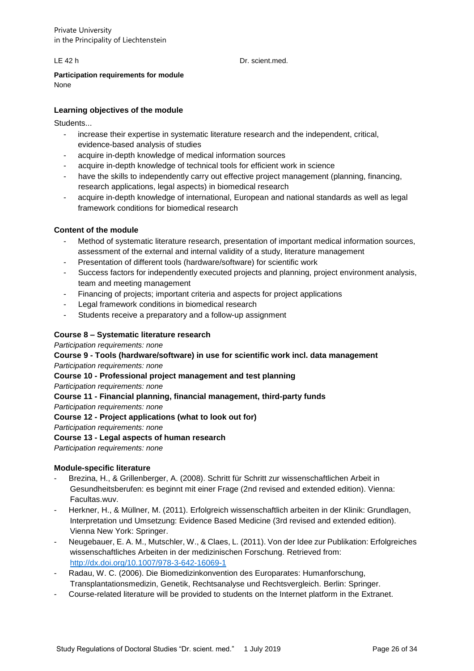Private University in the Principality of Liechtenstein

LE 42 h Dr. scient.med.

## **Participation requirements for module**

None

### **Learning objectives of the module**

Students...

- increase their expertise in systematic literature research and the independent, critical, evidence-based analysis of studies
- acquire in-depth knowledge of medical information sources
- acquire in-depth knowledge of technical tools for efficient work in science
- have the skills to independently carry out effective project management (planning, financing, research applications, legal aspects) in biomedical research
- acquire in-depth knowledge of international, European and national standards as well as legal framework conditions for biomedical research

#### **Content of the module**

- Method of systematic literature research, presentation of important medical information sources, assessment of the external and internal validity of a study, literature management
- Presentation of different tools (hardware/software) for scientific work
- Success factors for independently executed projects and planning, project environment analysis, team and meeting management
- Financing of projects; important criteria and aspects for project applications
- Legal framework conditions in biomedical research
- Students receive a preparatory and a follow-up assignment

#### **Course 8 – Systematic literature research**

*Participation requirements: none*

## **Course 9 - Tools (hardware/software) in use for scientific work incl. data management**

*Participation requirements: none*

#### **Course 10 - Professional project management and test planning**

*Participation requirements: none*

**Course 11 - Financial planning, financial management, third-party funds**

*Participation requirements: none*

#### **Course 12 - Project applications (what to look out for)**

*Participation requirements: none*

#### **Course 13 - Legal aspects of human research**

*Participation requirements: none*

#### **Module-specific literature**

- Brezina, H., & Grillenberger, A. (2008). Schritt für Schritt zur wissenschaftlichen Arbeit in Gesundheitsberufen: es beginnt mit einer Frage (2nd revised and extended edition). Vienna: Facultas.wuv.
- Herkner, H., & Müllner, M. (2011). Erfolgreich wissenschaftlich arbeiten in der Klinik: Grundlagen, Interpretation und Umsetzung: Evidence Based Medicine (3rd revised and extended edition). Vienna New York: Springer.
- Neugebauer, E. A. M., Mutschler, W., & Claes, L. (2011). Von der Idee zur Publikation: Erfolgreiches wissenschaftliches Arbeiten in der medizinischen Forschung. Retrieved from: <http://dx.doi.org/10.1007/978-3-642-16069-1>
- Radau, W. C. (2006). Die Biomedizinkonvention des Europarates: Humanforschung, Transplantationsmedizin, Genetik, Rechtsanalyse und Rechtsvergleich. Berlin: Springer.
- Course-related literature will be provided to students on the Internet platform in the Extranet.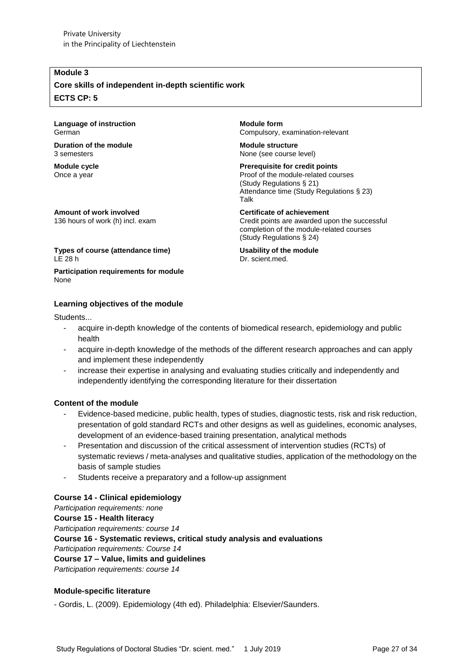#### **Module 3**

### **Core skills of independent in-depth scientific work ECTS CP: 5**

#### **Language of instruction** German

**Duration of the module** 3 semesters

**Amount of work involved** 136 hours of work (h) incl. exam

**Module cycle** Once a year

**Module form** Compulsory, examination-relevant

**Module structure** None (see course level)

**Usability of the module**

Dr. scient.med.

**Prerequisite for credit points** Proof of the module-related courses (Study Regulations § 21) Attendance time (Study Regulations § 23) Talk

**Certificate of achievement** Credit points are awarded upon the successful completion of the module-related courses (Study Regulations § 24)

**Types of course (attendance time)**

**Participation requirements for module** None

#### **Learning objectives of the module**

Students...

LE 28 h

- acquire in-depth knowledge of the contents of biomedical research, epidemiology and public health
- acquire in-depth knowledge of the methods of the different research approaches and can apply and implement these independently
- increase their expertise in analysing and evaluating studies critically and independently and independently identifying the corresponding literature for their dissertation

#### **Content of the module**

- Evidence-based medicine, public health, types of studies, diagnostic tests, risk and risk reduction, presentation of gold standard RCTs and other designs as well as guidelines, economic analyses, development of an evidence-based training presentation, analytical methods
- Presentation and discussion of the critical assessment of intervention studies (RCTs) of systematic reviews / meta-analyses and qualitative studies, application of the methodology on the basis of sample studies
- Students receive a preparatory and a follow-up assignment

#### **Course 14 - Clinical epidemiology**

*Participation requirements: none*

#### **Course 15 - Health literacy**

*Participation requirements: course 14*

**Course 16 - Systematic reviews, critical study analysis and evaluations** 

*Participation requirements: Course 14*

#### **Course 17 – Value, limits and guidelines**

*Participation requirements: course 14*

#### **Module-specific literature**

- Gordis, L. (2009). Epidemiology (4th ed). Philadelphia: Elsevier/Saunders.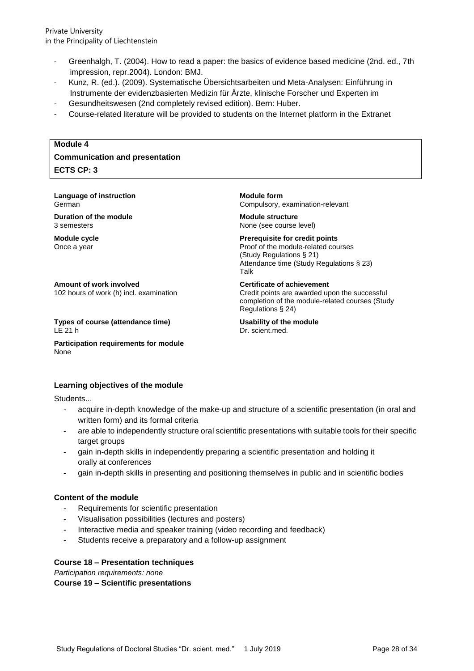Private University in the Principality of Liechtenstein

- Greenhalgh, T. (2004). How to read a paper: the basics of evidence based medicine (2nd. ed., 7th impression, repr.2004). London: BMJ.
- Kunz, R. (ed.). (2009). Systematische Übersichtsarbeiten und Meta-Analysen: Einführung in Instrumente der evidenzbasierten Medizin für Ärzte, klinische Forscher und Experten im
- Gesundheitswesen (2nd completely revised edition). Bern: Huber.
- Course-related literature will be provided to students on the Internet platform in the Extranet

#### **Module 4**

### **Communication and presentation ECTS CP: 3**

**Language of instruction** German

**Duration of the module** 3 semesters

**Module cycle** Once a year

**Amount of work involved** 102 hours of work (h) incl. examination

**Types of course (attendance time)** LE 21 h

**Participation requirements for module** None

**Module form** Compulsory, examination-relevant

**Module structure** None (see course level)

**Prerequisite for credit points** Proof of the module-related courses (Study Regulations § 21) Attendance time (Study Regulations § 23) Talk

**Certificate of achievement** Credit points are awarded upon the successful completion of the module-related courses (Study Regulations § 24)

**Usability of the module** Dr. scient.med.

#### **Learning objectives of the module**

Students...

- acquire in-depth knowledge of the make-up and structure of a scientific presentation (in oral and written form) and its formal criteria
- are able to independently structure oral scientific presentations with suitable tools for their specific target groups
- gain in-depth skills in independently preparing a scientific presentation and holding it orally at conferences
- gain in-depth skills in presenting and positioning themselves in public and in scientific bodies

#### **Content of the module**

- Requirements for scientific presentation
- Visualisation possibilities (lectures and posters)
- Interactive media and speaker training (video recording and feedback)
- Students receive a preparatory and a follow-up assignment

#### **Course 18 – Presentation techniques**

*Participation requirements: none*

**Course 19 – Scientific presentations**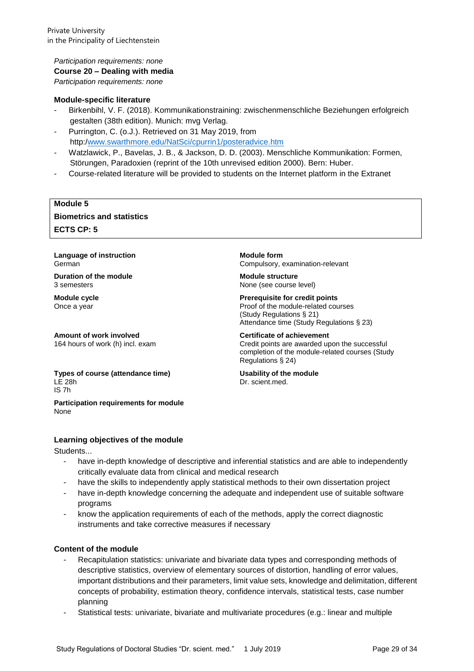*Participation requirements: none* **Course 20 – Dealing with media** *Participation requirements: none*

#### **Module-specific literature**

- Birkenbihl, V. F. (2018). Kommunikationstraining: zwischenmenschliche Beziehungen erfolgreich gestalten (38th edition). Munich: mvg Verlag.
- Purrington, C. (o.J.). Retrieved on 31 May 2019, from http:[/www.swarthmore.edu/NatSci/cpurrin1/posteradvice.htm](http://www.swarthmore.edu/NatSci/cpurrin1/posteradvice.htm)
- Watzlawick, P., Bavelas, J. B., & Jackson, D. D. (2003). Menschliche Kommunikation: Formen, Störungen, Paradoxien (reprint of the 10th unrevised edition 2000). Bern: Huber.
- Course-related literature will be provided to students on the Internet platform in the Extranet

#### **Module 5**

### **Biometrics and statistics**

**ECTS CP: 5**

**Language of instruction** German

**Duration of the module** 3 semesters

**Module cycle** Once a year

**Amount of work involved** 164 hours of work (h) incl. exam

**Types of course (attendance time)** LE 28h IS 7h

**Module form** Compulsory, examination-relevant **Module structure**

None (see course level)

**Prerequisite for credit points** Proof of the module-related courses (Study Regulations § 21) Attendance time (Study Regulations § 23)

**Certificate of achievement** Credit points are awarded upon the successful completion of the module-related courses (Study Regulations § 24)

#### **Usability of the module** Dr. scient.med.

# **Participation requirements for module** None

#### **Learning objectives of the module**

Students...

- have in-depth knowledge of descriptive and inferential statistics and are able to independently critically evaluate data from clinical and medical research
- have the skills to independently apply statistical methods to their own dissertation project
- have in-depth knowledge concerning the adequate and independent use of suitable software programs
- know the application requirements of each of the methods, apply the correct diagnostic instruments and take corrective measures if necessary

### **Content of the module**

- Recapitulation statistics: univariate and bivariate data types and corresponding methods of descriptive statistics, overview of elementary sources of distortion, handling of error values, important distributions and their parameters, limit value sets, knowledge and delimitation, different concepts of probability, estimation theory, confidence intervals, statistical tests, case number planning
- Statistical tests: univariate, bivariate and multivariate procedures (e.g.: linear and multiple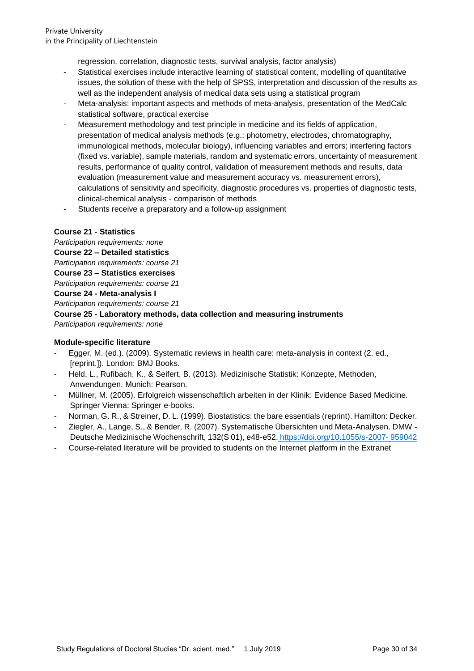regression, correlation, diagnostic tests, survival analysis, factor analysis)

- Statistical exercises include interactive learning of statistical content, modelling of quantitative issues, the solution of these with the help of SPSS, interpretation and discussion of the results as well as the independent analysis of medical data sets using a statistical program
- Meta-analysis: important aspects and methods of meta-analysis, presentation of the MedCalc statistical software, practical exercise
- Measurement methodology and test principle in medicine and its fields of application, presentation of medical analysis methods (e.g.: photometry, electrodes, chromatography, immunological methods, molecular biology), influencing variables and errors; interfering factors (fixed vs. variable), sample materials, random and systematic errors, uncertainty of measurement results, performance of quality control, validation of measurement methods and results, data evaluation (measurement value and measurement accuracy vs. measurement errors), calculations of sensitivity and specificity, diagnostic procedures vs. properties of diagnostic tests, clinical-chemical analysis - comparison of methods
- Students receive a preparatory and a follow-up assignment

#### **Course 21 - Statistics**

*Participation requirements: none* **Course 22 – Detailed statistics** *Participation requirements: course 21*  **Course 23 – Statistics exercises** *Participation requirements: course 21*  **Course 24 - Meta-analysis I**  *Participation requirements: course 21* **Course 25 - Laboratory methods, data collection and measuring instruments** *Participation requirements: none*

#### **Module-specific literature**

- Egger, M. (ed.). (2009). Systematic reviews in health care: meta-analysis in context (2. ed., [reprint.]). London: BMJ Books.
- Held, L., Rufibach, K., & Seifert, B. (2013). Medizinische Statistik: Konzepte, Methoden, Anwendungen. Munich: Pearson.
- Müllner, M. (2005). Erfolgreich wissenschaftlich arbeiten in der Klinik: Evidence Based Medicine. Springer Vienna: Springer e-books.
- Norman, G. R., & Streiner, D. L. (1999). Biostatistics: the bare essentials (reprint). Hamilton: Decker.
- Ziegler, A., Lange, S., & Bender, R. (2007). Systematische Übersichten und Meta-Analysen. DMW Deutsche Medizinische Wochenschrift, 132(S 01), e48-e52. [https://doi.org/10.1055/s-2007-](https://doi.org/10.1055/s-2007-959042) [959042](https://doi.org/10.1055/s-2007-959042)
- Course-related literature will be provided to students on the Internet platform in the Extranet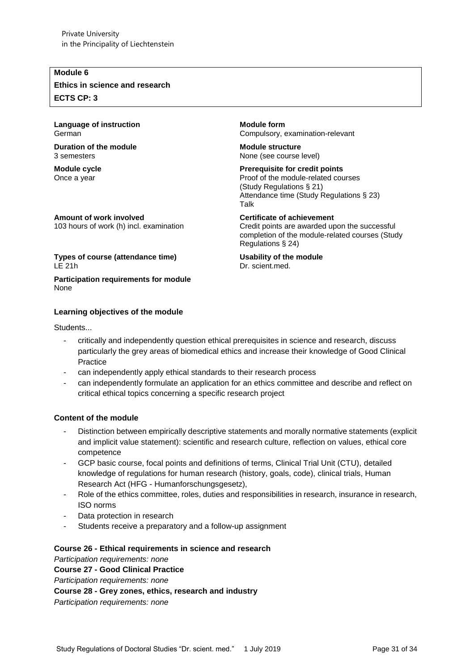#### **Module 6**

**Ethics in science and research ECTS CP: 3**

**Language of instruction** German

**Duration of the module** 3 semesters

**Amount of work involved**

**Module cycle** Once a year

**Module form** Compulsory, examination-relevant

**Module structure** None (see course level)

**Usability of the module**

Dr. scient.med.

**Prerequisite for credit points** Proof of the module-related courses (Study Regulations § 21) Attendance time (Study Regulations § 23) Talk

**Certificate of achievement** Credit points are awarded upon the successful completion of the module-related courses (Study Regulations § 24)

**Types of course (attendance time)** LE 21h

103 hours of work (h) incl. examination

**Participation requirements for module** None

#### **Learning objectives of the module**

Students...

- critically and independently question ethical prerequisites in science and research, discuss particularly the grey areas of biomedical ethics and increase their knowledge of Good Clinical **Practice**
- can independently apply ethical standards to their research process
- can independently formulate an application for an ethics committee and describe and reflect on critical ethical topics concerning a specific research project

#### **Content of the module**

- Distinction between empirically descriptive statements and morally normative statements (explicit and implicit value statement): scientific and research culture, reflection on values, ethical core competence
- GCP basic course, focal points and definitions of terms, Clinical Trial Unit (CTU), detailed knowledge of regulations for human research (history, goals, code), clinical trials, Human Research Act (HFG - Humanforschungsgesetz),
- Role of the ethics committee, roles, duties and responsibilities in research, insurance in research, ISO norms
- Data protection in research
- Students receive a preparatory and a follow-up assignment

#### **Course 26 - Ethical requirements in science and research**

*Participation requirements: none* **Course 27 - Good Clinical Practice** *Participation requirements: none* **Course 28 - Grey zones, ethics, research and industry**  *Participation requirements: none*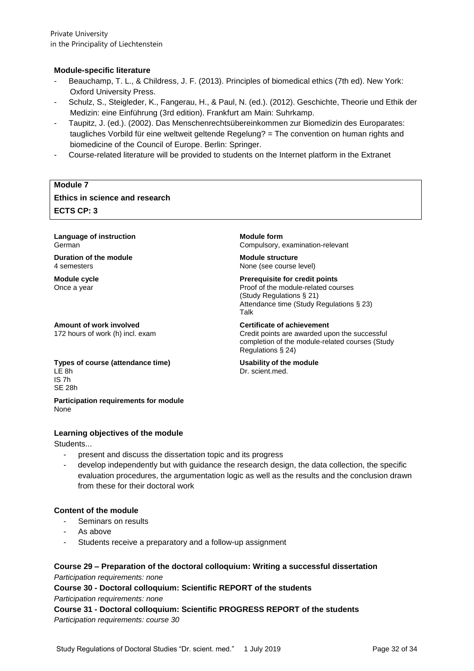#### **Module-specific literature**

- Beauchamp, T. L., & Childress, J. F. (2013). Principles of biomedical ethics (7th ed). New York: Oxford University Press.
- Schulz, S., Steigleder, K., Fangerau, H., & Paul, N. (ed.). (2012). Geschichte, Theorie und Ethik der Medizin: eine Einführung (3rd edition). Frankfurt am Main: Suhrkamp.
- Taupitz, J. (ed.). (2002). Das Menschenrechtsübereinkommen zur Biomedizin des Europarates: taugliches Vorbild für eine weltweit geltende Regelung? = The convention on human rights and biomedicine of the Council of Europe. Berlin: Springer.
- Course-related literature will be provided to students on the Internet platform in the Extranet

#### **Module 7**

## **Ethics in science and research ECTS CP: 3**

**Language of instruction** German

**Duration of the module** 4 semesters

**Module cycle** Once a year

**Amount of work involved** 172 hours of work (h) incl. exam **Module form** Compulsory, examination-relevant

**Module structure** None (see course level)

**Prerequisite for credit points** Proof of the module-related courses (Study Regulations § 21) Attendance time (Study Regulations § 23) Talk

**Certificate of achievement** Credit points are awarded upon the successful completion of the module-related courses (Study Regulations § 24)

**Usability of the module** Dr. scient.med.

#### LE 8h IS 7h SE 28h

**Types of course (attendance time)**

**Participation requirements for module** None

#### **Learning objectives of the module**

Students...

- present and discuss the dissertation topic and its progress
- develop independently but with guidance the research design, the data collection, the specific evaluation procedures, the argumentation logic as well as the results and the conclusion drawn from these for their doctoral work

#### **Content of the module**

- Seminars on results
- As above
- Students receive a preparatory and a follow-up assignment

### **Course 29 – Preparation of the doctoral colloquium: Writing a successful dissertation**

*Participation requirements: none*

### **Course 30 - Doctoral colloquium: Scientific REPORT of the students**

*Participation requirements: none*

**Course 31 - Doctoral colloquium: Scientific PROGRESS REPORT of the students** *Participation requirements: course 30*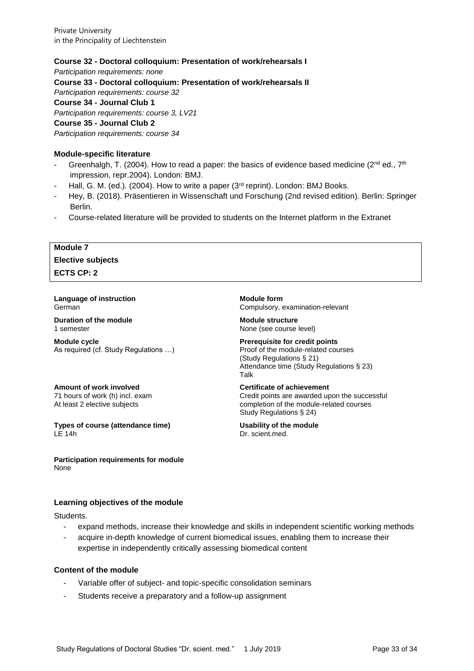### **Course 32 - Doctoral colloquium: Presentation of work/rehearsals I**

*Participation requirements: none* **Course 33 - Doctoral colloquium: Presentation of work/rehearsals II** *Participation requirements: course 32*  **Course 34 - Journal Club 1**  *Participation requirements: course 3, LV21*  **Course 35 - Journal Club 2** *Participation requirements: course 34*

#### **Module-specific literature**

- Greenhalgh, T. (2004). How to read a paper: the basics of evidence based medicine ( $2<sup>nd</sup>$  ed.,  $7<sup>th</sup>$ impression, repr.2004). London: BMJ.
- Hall, G. M. (ed.). (2004). How to write a paper ( $3<sup>rd</sup>$  reprint). London: BMJ Books.
- Hey, B. (2018). Präsentieren in Wissenschaft und Forschung (2nd revised edition). Berlin: Springer Berlin.
- Course-related literature will be provided to students on the Internet platform in the Extranet

## **Module 7 Elective subjects ECTS CP: 2**

**Language of instruction** German

**Duration of the module** 1 semester

**Module cycle** As required (cf. Study Regulations …)

#### **Amount of work involved**

71 hours of work (h) incl. exam At least 2 elective subjects

**Types of course (attendance time)** LE 14h

**Module form** Compulsory, examination-relevant

**Module structure** None (see course level)

#### **Prerequisite for credit points**

Proof of the module-related courses (Study Regulations § 21) Attendance time (Study Regulations § 23) Talk

**Certificate of achievement** Credit points are awarded upon the successful completion of the module-related courses Study Regulations § 24)

#### **Usability of the module** Dr. scient.med.

**Participation requirements for module** None

#### **Learning objectives of the module**

Students.

- expand methods, increase their knowledge and skills in independent scientific working methods
- acquire in-depth knowledge of current biomedical issues, enabling them to increase their expertise in independently critically assessing biomedical content

#### **Content of the module**

- Variable offer of subject- and topic-specific consolidation seminars
- Students receive a preparatory and a follow-up assignment